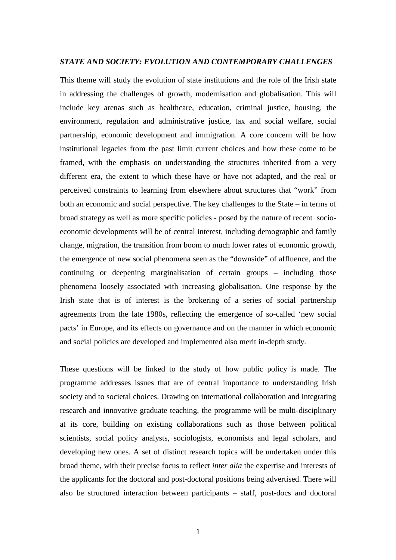#### *STATE AND SOCIETY: EVOLUTION AND CONTEMPORARY CHALLENGES*

This theme will study the evolution of state institutions and the role of the Irish state in addressing the challenges of growth, modernisation and globalisation. This will include key arenas such as healthcare, education, criminal justice, housing, the environment, regulation and administrative justice, tax and social welfare, social partnership, economic development and immigration. A core concern will be how institutional legacies from the past limit current choices and how these come to be framed, with the emphasis on understanding the structures inherited from a very different era, the extent to which these have or have not adapted, and the real or perceived constraints to learning from elsewhere about structures that "work" from both an economic and social perspective. The key challenges to the State – in terms of broad strategy as well as more specific policies - posed by the nature of recent socioeconomic developments will be of central interest, including demographic and family change, migration, the transition from boom to much lower rates of economic growth, the emergence of new social phenomena seen as the "downside" of affluence, and the continuing or deepening marginalisation of certain groups – including those phenomena loosely associated with increasing globalisation. One response by the Irish state that is of interest is the brokering of a series of social partnership agreements from the late 1980s, reflecting the emergence of so-called 'new social pacts' in Europe, and its effects on governance and on the manner in which economic and social policies are developed and implemented also merit in-depth study.

These questions will be linked to the study of how public policy is made. The programme addresses issues that are of central importance to understanding Irish society and to societal choices. Drawing on international collaboration and integrating research and innovative graduate teaching, the programme will be multi-disciplinary at its core, building on existing collaborations such as those between political scientists, social policy analysts, sociologists, economists and legal scholars, and developing new ones. A set of distinct research topics will be undertaken under this broad theme, with their precise focus to reflect *inter alia* the expertise and interests of the applicants for the doctoral and post-doctoral positions being advertised. There will also be structured interaction between participants – staff, post-docs and doctoral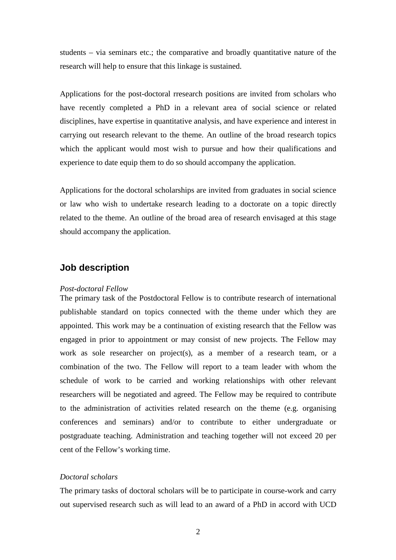students – via seminars etc.; the comparative and broadly quantitative nature of the research will help to ensure that this linkage is sustained.

Applications for the post-doctoral rresearch positions are invited from scholars who have recently completed a PhD in a relevant area of social science or related disciplines, have expertise in quantitative analysis, and have experience and interest in carrying out research relevant to the theme. An outline of the broad research topics which the applicant would most wish to pursue and how their qualifications and experience to date equip them to do so should accompany the application.

Applications for the doctoral scholarships are invited from graduates in social science or law who wish to undertake research leading to a doctorate on a topic directly related to the theme. An outline of the broad area of research envisaged at this stage should accompany the application.

# **Job description**

#### *Post-doctoral Fellow*

The primary task of the Postdoctoral Fellow is to contribute research of international publishable standard on topics connected with the theme under which they are appointed. This work may be a continuation of existing research that the Fellow was engaged in prior to appointment or may consist of new projects. The Fellow may work as sole researcher on project(s), as a member of a research team, or a combination of the two. The Fellow will report to a team leader with whom the schedule of work to be carried and working relationships with other relevant researchers will be negotiated and agreed. The Fellow may be required to contribute to the administration of activities related research on the theme (e.g. organising conferences and seminars) and/or to contribute to either undergraduate or postgraduate teaching. Administration and teaching together will not exceed 20 per cent of the Fellow's working time.

# *Doctoral scholars*

The primary tasks of doctoral scholars will be to participate in course-work and carry out supervised research such as will lead to an award of a PhD in accord with UCD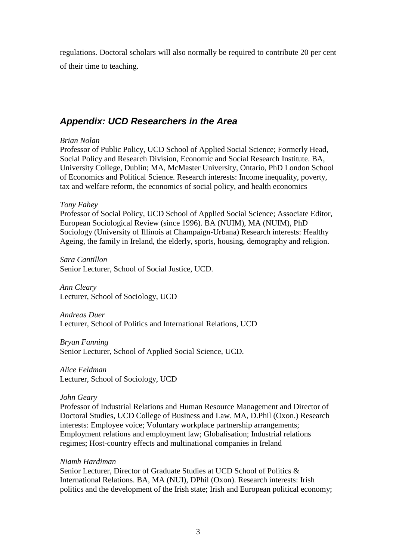regulations. Doctoral scholars will also normally be required to contribute 20 per cent of their time to teaching.

# *Appendix: UCD Researchers in the Area*

## *[Brian Nolan](http://www.ucd.ie/appsocsc/staff.htm)*

Professor of Public Policy, UCD School of Applied Social Science; Formerly Head, Social Policy and Research Division, Economic and Social Research Institute. BA, University College, Dublin; MA, McMaster University, Ontario, PhD London School of Economics and Political Science. Research interests: Income inequality, poverty, tax and welfare reform, the economics of social policy, and health economics

## *[Tony Fahey](http://www.ucd.ie/appsocsc/staff.htm)*

Professor of Social Policy, UCD School of Applied Social Science; Associate Editor, European Sociological Review (since 1996). BA (NUIM), MA (NUIM), PhD Sociology (University of Illinois at Champaign-Urbana) Research interests: Healthy Ageing, the family in Ireland, the elderly, sports, housing, demography and religion.

*Sara Cantillon* Senior Lecturer, School of Social Justice, UCD.

*Ann Cleary* Lecturer, School of Sociology, UCD

*Andreas Duer* Lecturer, School of Politics and International Relations, UCD

*Bryan Fanning* Senior Lecturer, School of Applied Social Science, UCD.

*Alice Feldman* Lecturer, School of Sociology, UCD

#### *[John Geary](http://www.ucd.ie/businessandlaw/postgraduate/geary_biog.htm)*

Professor of Industrial Relations and Human Resource Management and Director of Doctoral Studies, UCD College of Business and Law. MA, D.Phil (Oxon.) Research interests: Employee voice; Voluntary workplace partnership arrangements; Employment relations and employment law; Globalisation; Industrial relations regimes; Host-country effects and multinational companies in Ireland

#### *[Niamh Hardiman](http://www.ucd.ie/spire/staff/niamhhardiman.html)*

Senior Lecturer, Director of Graduate Studies at UCD School of Politics & International Relations. BA, MA (NUI), DPhil (Oxon). Research interests: Irish politics and the development of the Irish state; Irish and European political economy;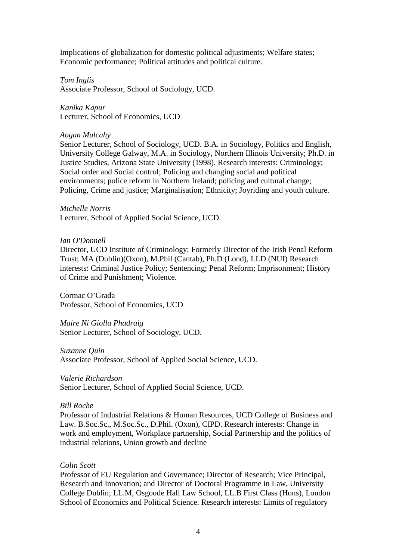Implications of globalization for domestic political adjustments; Welfare states; Economic performance; Political attitudes and political culture.

*Tom Inglis* Associate Professor, School of Sociology, UCD.

*Kanika Kapur* Lecturer, School of Economics, UCD

# *[Aogan Mulcahy](http://www.ucd.ie/sociology/staff/mulcahy_aogan/index.html)*

Senior Lecturer, School of Sociology, UCD. B.A. in Sociology, Politics and English, University College Galway, M.A. in Sociology, Northern Illinois University; Ph.D. in Justice Studies, Arizona State University (1998). Research interests: Criminology; Social order and Social control; Policing and changing social and political environments; police reform in Northern Ireland; policing and cultural change; Policing, Crime and justice; Marginalisation; Ethnicity; Joyriding and youth culture.

## *Michelle Norris*

Lecturer, School of Applied Social Science, UCD.

# *[Ian O'Donnell](http://www.ucd.ie/law/staff_ian_o_donnell.htm)*

Director, UCD Institute of Criminology; Formerly Director of the Irish Penal Reform Trust; MA (Dublin)(Oxon), M.Phil (Cantab), Ph.D (Lond), LLD (NUI) Research interests: Criminal Justice Policy; Sentencing; Penal Reform; Imprisonment; History of Crime and Punishment; Violence.

Cormac O'Grada Professor, School of Economics, UCD

*Maire Ni Giolla Phadraig* Senior Lecturer, School of Sociology, UCD.

## *Suzanne Quin*

Associate Professor, School of Applied Social Science, UCD.

## *Valerie Richardson*

Senior Lecturer, School of Applied Social Science, UCD.

## *[Bill Roche](http://www.ucd.ie/indrel/br.htm)*

Professor of Industrial Relations & Human Resources, UCD College of Business and Law. B.Soc.Sc., M.Soc.Sc., D.Phil. (Oxon), CIPD. Research interests: Change in work and employment, Workplace partnership, Social Partnership and the politics of industrial relations, Union growth and decline

# *[Colin Scott](http://www.ucd.ie/law/staff_colin_scott.htm)*

Professor of EU Regulation and Governance; Director of Research; Vice Principal, Research and Innovation; and Director of Doctoral Programme in Law, University College Dublin; LL.M, Osgoode Hall Law School, LL.B First Class (Hons), London School of Economics and Political Science. Research interests: Limits of regulatory